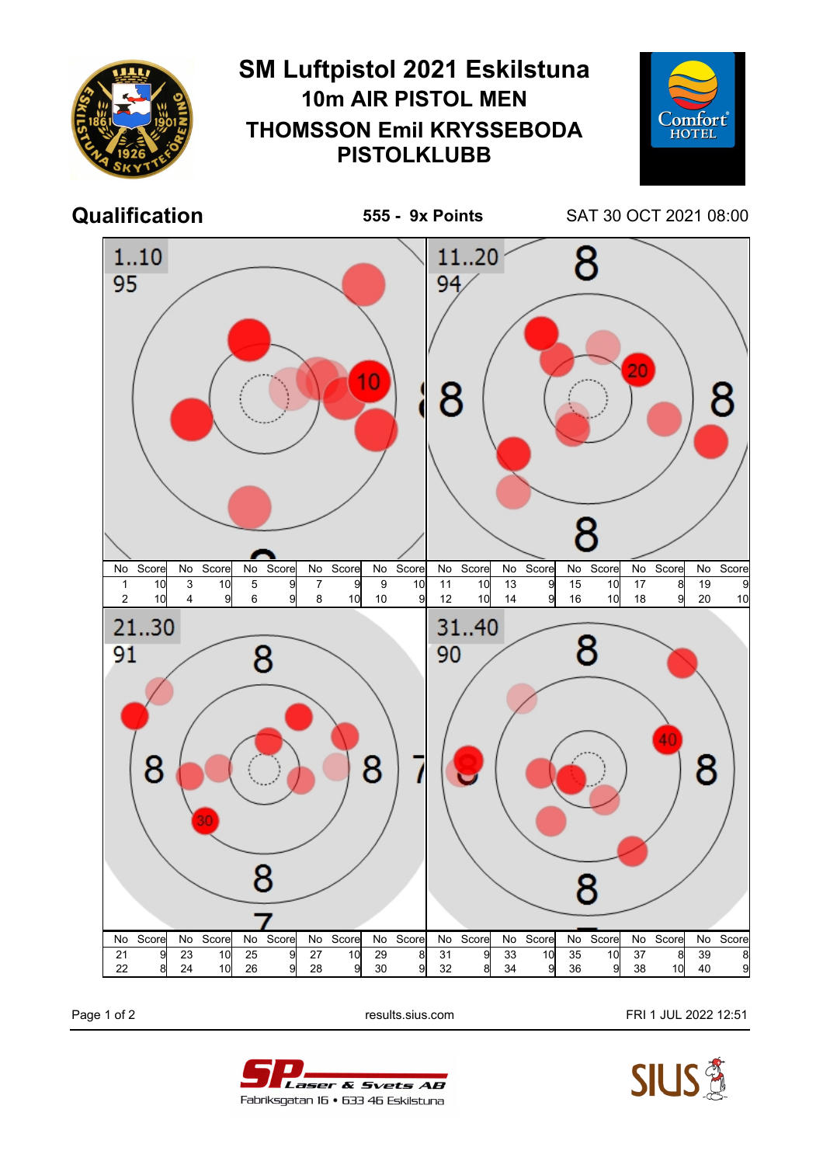

Page 1 of 2 **Page 1 of 2** results.sius.com **FRI 1 JUL 2022 12:51**